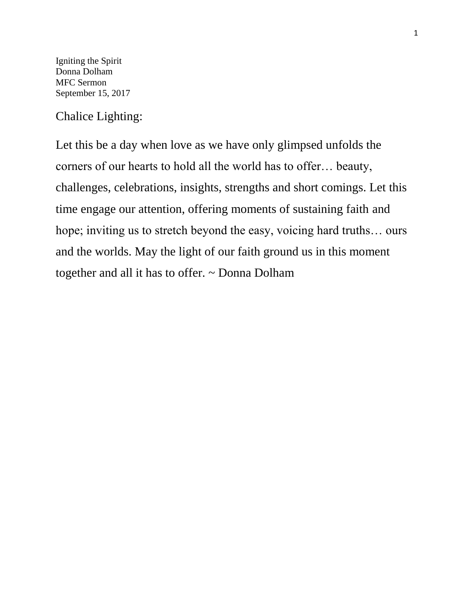Igniting the Spirit Donna Dolham MFC Sermon September 15, 2017

Chalice Lighting:

Let this be a day when love as we have only glimpsed unfolds the corners of our hearts to hold all the world has to offer… beauty, challenges, celebrations, insights, strengths and short comings. Let this time engage our attention, offering moments of sustaining faith and hope; inviting us to stretch beyond the easy, voicing hard truths... ours and the worlds. May the light of our faith ground us in this moment together and all it has to offer. ~ Donna Dolham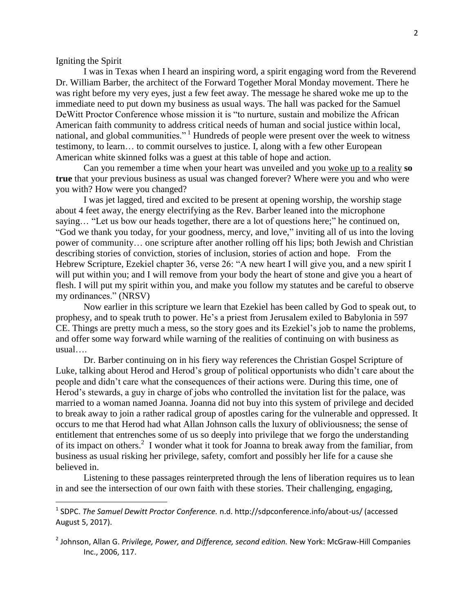Igniting the Spirit

 $\overline{\phantom{a}}$ 

I was in Texas when I heard an inspiring word, a spirit engaging word from the Reverend Dr. William Barber, the architect of the Forward Together Moral Monday movement. There he was right before my very eyes, just a few feet away. The message he shared woke me up to the immediate need to put down my business as usual ways. The hall was packed for the Samuel DeWitt Proctor Conference whose mission it is "to nurture, sustain and mobilize the African American faith community to address critical needs of human and social justice within local, national, and global communities."<sup>1</sup> Hundreds of people were present over the week to witness testimony, to learn… to commit ourselves to justice. I, along with a few other European American white skinned folks was a guest at this table of hope and action.

Can you remember a time when your heart was unveiled and you woke up to a reality **so true** that your previous business as usual was changed forever? Where were you and who were you with? How were you changed?

I was jet lagged, tired and excited to be present at opening worship, the worship stage about 4 feet away, the energy electrifying as the Rev. Barber leaned into the microphone saying… "Let us bow our heads together, there are a lot of questions here;" he continued on, "God we thank you today, for your goodness, mercy, and love," inviting all of us into the loving power of community… one scripture after another rolling off his lips; both Jewish and Christian describing stories of conviction, stories of inclusion, stories of action and hope. From the Hebrew Scripture, Ezekiel chapter 36, verse 26: "A new heart I will give you, and a new spirit I will put within you; and I will remove from your body the heart of stone and give you a heart of flesh. I will put my spirit within you, and make you follow my statutes and be careful to observe my ordinances." (NRSV)

Now earlier in this scripture we learn that Ezekiel has been called by God to speak out, to prophesy, and to speak truth to power. He's a priest from Jerusalem exiled to Babylonia in 597 CE. Things are pretty much a mess, so the story goes and its Ezekiel's job to name the problems, and offer some way forward while warning of the realities of continuing on with business as usual….

Dr. Barber continuing on in his fiery way references the Christian Gospel Scripture of Luke, talking about Herod and Herod's group of political opportunists who didn't care about the people and didn't care what the consequences of their actions were. During this time, one of Herod's stewards, a guy in charge of jobs who controlled the invitation list for the palace, was married to a woman named Joanna. Joanna did not buy into this system of privilege and decided to break away to join a rather radical group of apostles caring for the vulnerable and oppressed. It occurs to me that Herod had what Allan Johnson calls the luxury of obliviousness; the sense of entitlement that entrenches some of us so deeply into privilege that we forgo the understanding of its impact on others.<sup>2</sup> I wonder what it took for Joanna to break away from the familiar, from business as usual risking her privilege, safety, comfort and possibly her life for a cause she believed in.

Listening to these passages reinterpreted through the lens of liberation requires us to lean in and see the intersection of our own faith with these stories. Their challenging, engaging,

<sup>1</sup> SDPC. *The Samuel Dewitt Proctor Conference.* n.d. http://sdpconference.info/about-us/ (accessed August 5, 2017).

<sup>2</sup> Johnson, Allan G. *Privilege, Power, and Difference, second edition.* New York: McGraw-Hill Companies Inc., 2006, 117.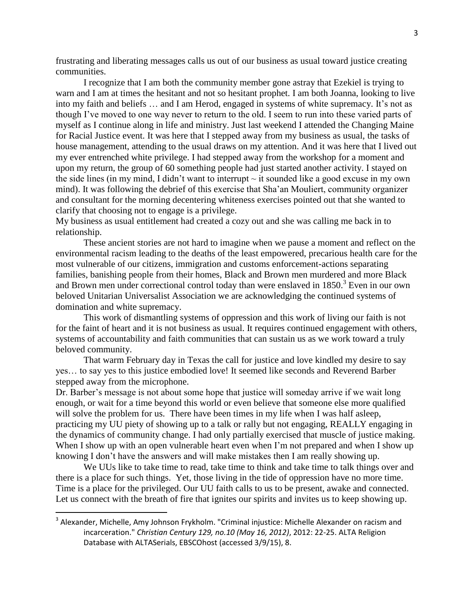frustrating and liberating messages calls us out of our business as usual toward justice creating communities.

I recognize that I am both the community member gone astray that Ezekiel is trying to warn and I am at times the hesitant and not so hesitant prophet. I am both Joanna, looking to live into my faith and beliefs … and I am Herod, engaged in systems of white supremacy. It's not as though I've moved to one way never to return to the old. I seem to run into these varied parts of myself as I continue along in life and ministry. Just last weekend I attended the Changing Maine for Racial Justice event. It was here that I stepped away from my business as usual, the tasks of house management, attending to the usual draws on my attention. And it was here that I lived out my ever entrenched white privilege. I had stepped away from the workshop for a moment and upon my return, the group of 60 something people had just started another activity. I stayed on the side lines (in my mind, I didn't want to interrupt  $\sim$  it sounded like a good excuse in my own mind). It was following the debrief of this exercise that Sha'an Mouliert, community organizer and consultant for the morning decentering whiteness exercises pointed out that she wanted to clarify that choosing not to engage is a privilege.

My business as usual entitlement had created a cozy out and she was calling me back in to relationship.

These ancient stories are not hard to imagine when we pause a moment and reflect on the environmental racism leading to the deaths of the least empowered, precarious health care for the most vulnerable of our citizens, immigration and customs enforcement-actions separating families, banishing people from their homes, Black and Brown men murdered and more Black and Brown men under correctional control today than were enslaved in  $1850<sup>3</sup>$  Even in our own beloved Unitarian Universalist Association we are acknowledging the continued systems of domination and white supremacy.

This work of dismantling systems of oppression and this work of living our faith is not for the faint of heart and it is not business as usual. It requires continued engagement with others, systems of accountability and faith communities that can sustain us as we work toward a truly beloved community.

That warm February day in Texas the call for justice and love kindled my desire to say yes… to say yes to this justice embodied love! It seemed like seconds and Reverend Barber stepped away from the microphone.

Dr. Barber's message is not about some hope that justice will someday arrive if we wait long enough, or wait for a time beyond this world or even believe that someone else more qualified will solve the problem for us. There have been times in my life when I was half asleep, practicing my UU piety of showing up to a talk or rally but not engaging, REALLY engaging in the dynamics of community change. I had only partially exercised that muscle of justice making. When I show up with an open vulnerable heart even when I'm not prepared and when I show up knowing I don't have the answers and will make mistakes then I am really showing up.

We UUs like to take time to read, take time to think and take time to talk things over and there is a place for such things. Yet, those living in the tide of oppression have no more time. Time is a place for the privileged. Our UU faith calls to us to be present, awake and connected. Let us connect with the breath of fire that ignites our spirits and invites us to keep showing up.

 $\overline{\phantom{a}}$ 

<sup>&</sup>lt;sup>3</sup> Alexander, Michelle, Amy Johnson Frykholm. "Criminal injustice: Michelle Alexander on racism and incarceration." *Christian Century 129, no.10 (May 16, 2012)*, 2012: 22-25. ALTA Religion Database with ALTASerials, EBSCOhost (accessed 3/9/15), 8.